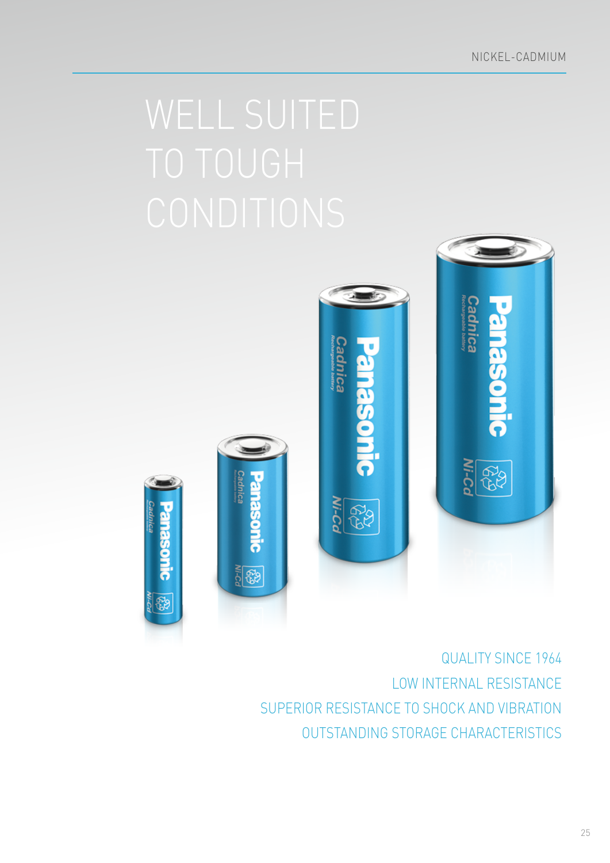

Cadnica



LOW INTERNAL RESISTANCE SUPERIOR RESISTANCE TO SHOCK AND VIBRATION QUALITY SINCE 1964 OUTSTANDING STORAGE CHARACTERISTICS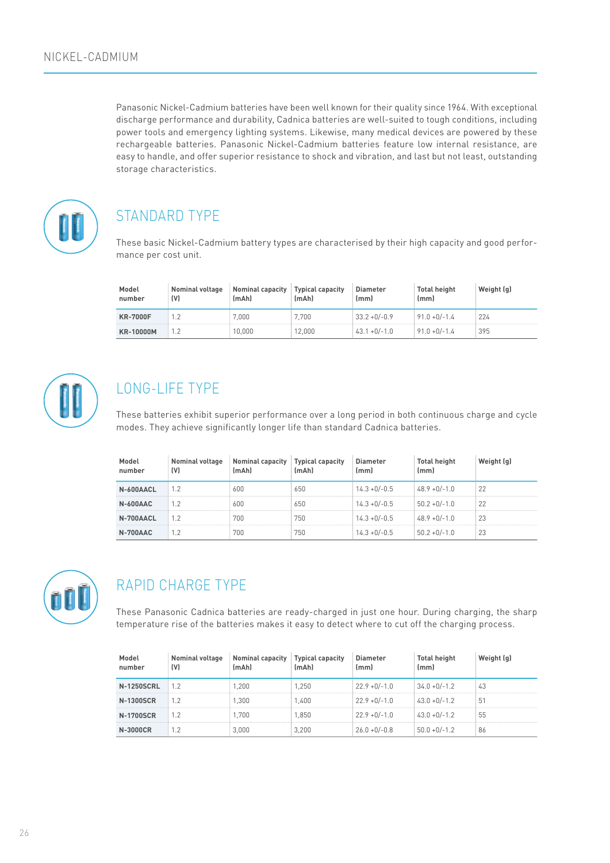Panasonic Nickel-Cadmium batteries have been well known for their quality since 1964. With exceptional discharge performance and durability, Cadnica batteries are well-suited to tough conditions, including power tools and emergency lighting systems. Likewise, many medical devices are powered by these rechargeable batteries. Panasonic Nickel-Cadmium batteries feature low internal resistance, are easy to handle, and offer superior resistance to shock and vibration, and last but not least, outstanding storage characteristics.



# STANDARD TYPE

These basic Nickel-Cadmium battery types are characterised by their high capacity and good performance per cost unit.

| Model<br>number  | <b>Nominal voltage</b><br>(V) | <b>Nominal capacity</b><br>(mAh) | <b>Typical capacity</b><br>(mAh) | <b>Diameter</b><br>(mm) | <b>Total height</b><br>(mm) | Weight (q) |
|------------------|-------------------------------|----------------------------------|----------------------------------|-------------------------|-----------------------------|------------|
| <b>KR-7000F</b>  |                               | 7.000                            | 7.700                            | $33.2 + 0/-0.9$         | $91.0 + 0/-1.4$             | 224        |
| <b>KR-10000M</b> | 1.2                           | 10.000                           | 12.000                           | $43.1 + 0/-1.0$         | $91.0 + 0/-1.4$             | 395        |



## LONG-LIFE TYPE

These batteries exhibit superior performance over a long period in both continuous charge and cycle modes. They achieve significantly longer life than standard Cadnica batteries.

| Model<br>number | <b>Nominal voltage</b><br>(V) | Nominal capacity<br>(mAh) | Typical capacity | Diameter<br>lmm J | Total height<br>(mm) | ight (g) |
|-----------------|-------------------------------|---------------------------|------------------|-------------------|----------------------|----------|
| N-600AACL       | 1.2                           | 600                       | 650              | $14.3 + 0/-0.5$   | $48.9 + 0/-1.0$      | 22       |
| N-600AAC        |                               | 600                       | 650              | $14.3 + 0/-0.5$   | $50.2 + 0/-1.0$      |          |
| N-700AACL       | 1.2                           | 700                       | 750              | $14.3 + 0/-0.5$   | $48.9 + 0/-1.0$      | 23       |
| N-700AAC        |                               | 700                       | 750              | $14.3 + 0/-0.5$   | $50.2 + 0/-1.0$      | 23       |



# RAPID CHARGE TYPE

These Panasonic Cadnica batteries are ready-charged in just one hour. During charging, the sharp temperature rise of the batteries makes it easy to detect where to cut off the charging process.

| Model<br>number   | <b>Nominal voltage</b><br>(V) | <b>Nominal capacity</b><br>(mAh) | <b>Typical capacity</b><br>(mAh) | <b>Diameter</b><br>(mm) | <b>Total height</b><br>(mm) | Weight (q) |
|-------------------|-------------------------------|----------------------------------|----------------------------------|-------------------------|-----------------------------|------------|
| <b>N-1250SCRL</b> | 1.2                           | 1.200                            | 1.250                            | $22.9 + 0/-1.0$         | $34.0 + 0/-1.2$             | 43         |
| <b>N-1300SCR</b>  | 1.2                           | 1.300                            | 1.400                            | $22.9 + 0/-1.0$         | $43.0 + 0/-1.2$             | 51         |
| <b>N-1700SCR</b>  | 1.2                           | 1.700                            | 1.850                            | $22.9 + 0/-1.0$         | $43.0 + 0/-1.2$             | 55         |
| N-3000CR          |                               | 3.000                            | 3.200                            | $26.0 + 0/-0.8$         | $50.0 + 0/-1.2$             | 86         |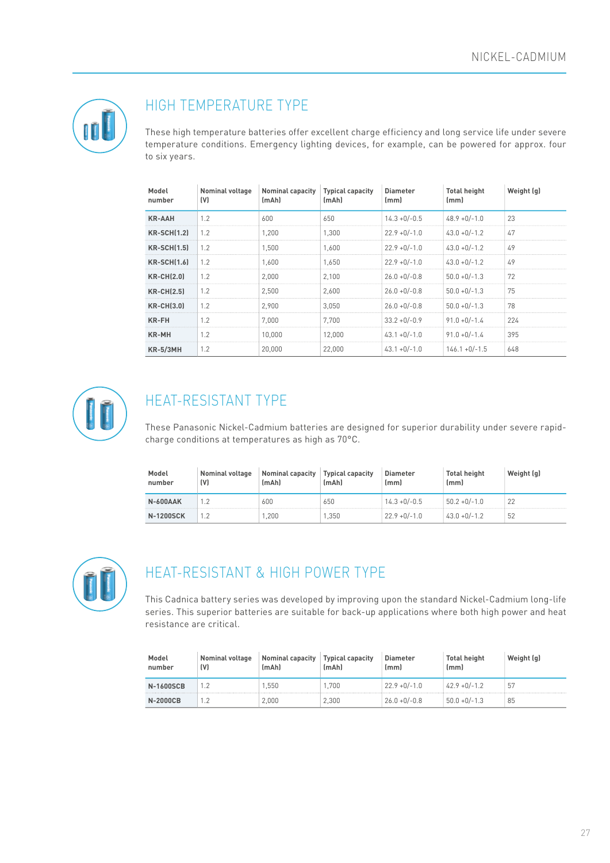

### HIGH TEMPERATURE TYPE

These high temperature batteries offer excellent charge efficiency and long service life under severe temperature conditions. Emergency lighting devices, for example, can be powered for approx. four to six years.

| Model<br>number   | Nominal voltage<br>(V) | <b>Nominal capacity</b><br>(mAh) | <b>Typical capacity</b><br>(mAh) | <b>Diameter</b><br>(mm) | <b>Total height</b><br>(mm) | Weight (q) |
|-------------------|------------------------|----------------------------------|----------------------------------|-------------------------|-----------------------------|------------|
| <b>KR-AAH</b>     | 1.2                    | 600                              | 650                              | $14.3 + 0/-0.5$         | $48.9 + 0/-1.0$             | 23         |
| $KR-SCH(1,2)$     | 1.2                    | 1.200                            | 1.300                            | $22.9 + 0/-1.0$         | $43.0 + 0/-1.2$             | 47         |
| $KR-SCH(1,5)$     | 1.2                    | 1.500                            | 1.600                            | $22.9 + 0/-1.0$         | $43.0 + 0/-1.2$             | 49         |
| $KR-SCH(1,6)$     | 1.2                    | 1.600                            | 1.650                            | $22.9 + 0/-1.0$         | $43.0 + 0/-1.2$             | 49         |
| <b>KR-CH(2.0)</b> | 1.2                    | 2.000                            | 2.100                            | $26.0 + 0/-0.8$         | $50.0 + 0/-1.3$             | 72         |
| $KR-CH(2.5)$      | 1.2                    | 2.500                            | 2.600                            | $26.0 + 0/-0.8$         | $50.0 + 0/-1.3$             | 75         |
| <b>KR-CH(3.0)</b> | 1.2                    | 2.900                            | 3.050                            | $26.0 + 0/-0.8$         | $50.0 + 0/-1.3$             | 78         |
| <b>KR-FH</b>      | 1.2                    | 7.000                            | 7.700                            | $33.2 + 0/-0.9$         | $91.0 + 0/-1.4$             | 224        |
| <b>KR-MH</b>      | 1.2                    | 10,000                           | 12,000                           | $43.1 + 0/-1.0$         | $91.0 + 0/-1.4$             | 395        |
| $KR-5/3MH$        | 1.2                    | 20,000                           | 22,000                           | $43.1 + 0/-1.0$         | $146.1 + 0/-1.5$            | 648        |



# HEAT-RESISTANT TYPE

These Panasonic Nickel-Cadmium batteries are designed for superior durability under severe rapidcharge conditions at temperatures as high as 70°C.

| Model<br>number  | <b>Nominal voltage</b><br>(V) | <b>Nominal capacity</b><br>(mAh) | <b>Typical capacity</b><br>(mAh) | <b>Diameter</b><br>lmml | <b>Total height</b><br>(mm) | Weight (q) |
|------------------|-------------------------------|----------------------------------|----------------------------------|-------------------------|-----------------------------|------------|
| <b>N-600AAK</b>  |                               | 600                              | 650                              | $14.3 + 0/-0.5$         | $50.2 + 0/-1.0$             |            |
| <b>N-1200SCK</b> |                               | 200                              | .350                             | $22.9 + 0/-1.0$         | $43.0 + 0/-1.2$             | 52         |



### HEAT-RESISTANT & HIGH POWER TYPE

This Cadnica battery series was developed by improving upon the standard Nickel-Cadmium long-life series. This superior batteries are suitable for back-up applications where both high power and heat resistance are critical.

| Model<br>number  | Nominal voltage<br>(V) | Nominal capacity<br>(mAh) | <b>Typical capacity</b><br>(mAh) | <b>Diameter</b><br>(mm) | <b>Total height</b><br>(mm) | Weight (g) |
|------------------|------------------------|---------------------------|----------------------------------|-------------------------|-----------------------------|------------|
| <b>N-1600SCB</b> |                        | .550                      | .700                             | $22.9 + 0/-1.0$         | $42.9 + 0/-1.2$             | -51        |
| <b>N-2000CB</b>  |                        | 2.000                     | 2.300                            | $26.0 + 0/-0.8$         | $50.0 + 0/-1.3$             | 85         |